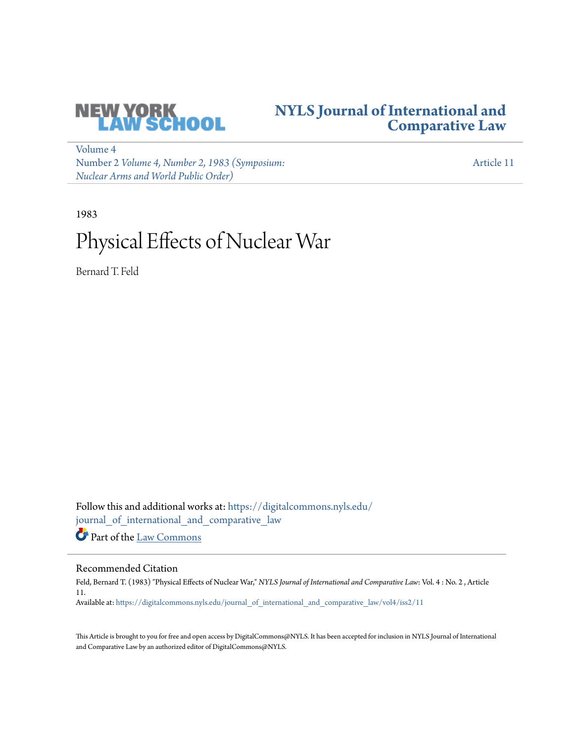

## **[NYLS Journal of International and](https://digitalcommons.nyls.edu/journal_of_international_and_comparative_law?utm_source=digitalcommons.nyls.edu%2Fjournal_of_international_and_comparative_law%2Fvol4%2Fiss2%2F11&utm_medium=PDF&utm_campaign=PDFCoverPages) [Comparative Law](https://digitalcommons.nyls.edu/journal_of_international_and_comparative_law?utm_source=digitalcommons.nyls.edu%2Fjournal_of_international_and_comparative_law%2Fvol4%2Fiss2%2F11&utm_medium=PDF&utm_campaign=PDFCoverPages)**

[Volume 4](https://digitalcommons.nyls.edu/journal_of_international_and_comparative_law/vol4?utm_source=digitalcommons.nyls.edu%2Fjournal_of_international_and_comparative_law%2Fvol4%2Fiss2%2F11&utm_medium=PDF&utm_campaign=PDFCoverPages) Number 2 *[Volume 4, Number 2, 1983 \(Symposium:](https://digitalcommons.nyls.edu/journal_of_international_and_comparative_law/vol4/iss2?utm_source=digitalcommons.nyls.edu%2Fjournal_of_international_and_comparative_law%2Fvol4%2Fiss2%2F11&utm_medium=PDF&utm_campaign=PDFCoverPages) [Nuclear Arms and World Public Order\)](https://digitalcommons.nyls.edu/journal_of_international_and_comparative_law/vol4/iss2?utm_source=digitalcommons.nyls.edu%2Fjournal_of_international_and_comparative_law%2Fvol4%2Fiss2%2F11&utm_medium=PDF&utm_campaign=PDFCoverPages)*

[Article 11](https://digitalcommons.nyls.edu/journal_of_international_and_comparative_law/vol4/iss2/11?utm_source=digitalcommons.nyls.edu%2Fjournal_of_international_and_comparative_law%2Fvol4%2Fiss2%2F11&utm_medium=PDF&utm_campaign=PDFCoverPages)

1983

# Physical Effects of Nuclear War

Bernard T. Feld

Follow this and additional works at: [https://digitalcommons.nyls.edu/](https://digitalcommons.nyls.edu/journal_of_international_and_comparative_law?utm_source=digitalcommons.nyls.edu%2Fjournal_of_international_and_comparative_law%2Fvol4%2Fiss2%2F11&utm_medium=PDF&utm_campaign=PDFCoverPages) [journal\\_of\\_international\\_and\\_comparative\\_law](https://digitalcommons.nyls.edu/journal_of_international_and_comparative_law?utm_source=digitalcommons.nyls.edu%2Fjournal_of_international_and_comparative_law%2Fvol4%2Fiss2%2F11&utm_medium=PDF&utm_campaign=PDFCoverPages)

Part of the [Law Commons](http://network.bepress.com/hgg/discipline/578?utm_source=digitalcommons.nyls.edu%2Fjournal_of_international_and_comparative_law%2Fvol4%2Fiss2%2F11&utm_medium=PDF&utm_campaign=PDFCoverPages)

### Recommended Citation

Feld, Bernard T. (1983) "Physical Effects of Nuclear War," *NYLS Journal of International and Comparative Law*: Vol. 4 : No. 2 , Article 11. Available at: [https://digitalcommons.nyls.edu/journal\\_of\\_international\\_and\\_comparative\\_law/vol4/iss2/11](https://digitalcommons.nyls.edu/journal_of_international_and_comparative_law/vol4/iss2/11?utm_source=digitalcommons.nyls.edu%2Fjournal_of_international_and_comparative_law%2Fvol4%2Fiss2%2F11&utm_medium=PDF&utm_campaign=PDFCoverPages)

This Article is brought to you for free and open access by DigitalCommons@NYLS. It has been accepted for inclusion in NYLS Journal of International and Comparative Law by an authorized editor of DigitalCommons@NYLS.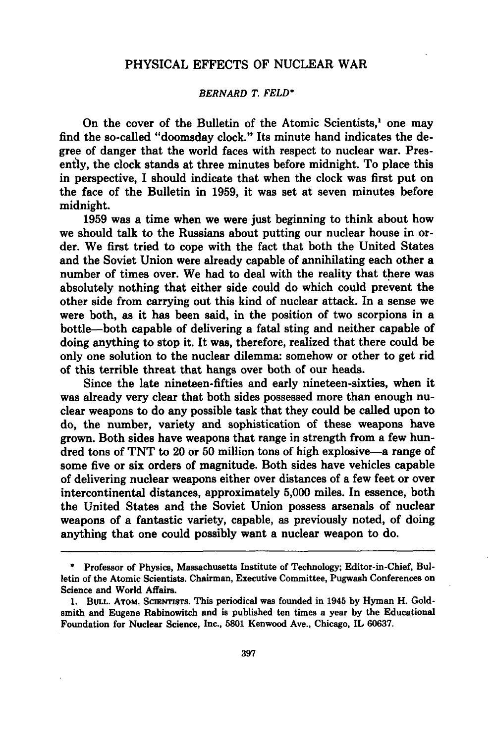#### PHYSICAL EFFECTS OF NUCLEAR WAR

#### *BERNARD T. FELD\**

On the cover of the Bulletin of the Atomic Scientists,' one may find the so-called "doomsday clock." Its minute hand indicates the degree of danger that the world faces with respect to nuclear war. Presently, the clock stands at three minutes before midnight. To place this in perspective, **I** should indicate that when the clock was first put on the face of the Bulletin in **1959,** it was set at seven minutes before midnight.

**1959** was a time when we were just beginning to think about how we should talk to the Russians about putting our nuclear house in order. We first tried to cope with the fact that both the United States and the Soviet Union were already capable of annihilating each other a number of times over. We had to deal with the reality that there was absolutely nothing that either side could do which could prevent the other side from carrying out this kind of nuclear attack. In a sense we were both, as it has been said, in the position of two scorpions in a bottle-both capable of delivering a fatal sting and neither capable of doing anything to stop it. It was, therefore, realized that there could be only one solution to the nuclear dilemma: somehow or other to get rid of this terrible threat that hangs over both of our heads.

Since the late nineteen-fifties and early nineteen-sixties, when it was already very clear that both sides possessed more than enough nuclear weapons to do any possible task that they could be called upon to do, the number, variety and sophistication of these weapons have grown. Both sides have weapons that range in strength from a few hundred tons of **TNT** to 20 or **50** million tons of high explosive-a range of some five or six orders of magnitude. Both sides have vehicles capable of delivering nuclear weapons either over distances of a few feet or over intercontinental distances, approximately **5,000** miles. In essence, both the United States and the Soviet Union possess arsenals of nuclear weapons of a fantastic variety, capable, as previously noted, of doing anything that one could possibly want a nuclear weapon to do.

**<sup>\*</sup>** Professor of Physics, Massachusetts Institute of Technology; Editor-in-Chief, Bulletin of the Atomic Scientists. Chairman, Executive Committee, Pugwash Conferences on Science and World Affairs.

**<sup>1.</sup> BULL. ATOM. SCIENTISTS. This periodical was founded in 1945 by Hyman H. Gold**smith and Eugene Rabinowitch and is published ten times a year **by** the Educational Foundation for Nuclear Science, Inc., **5801** Kenwood Ave., Chicago, IL **60637.**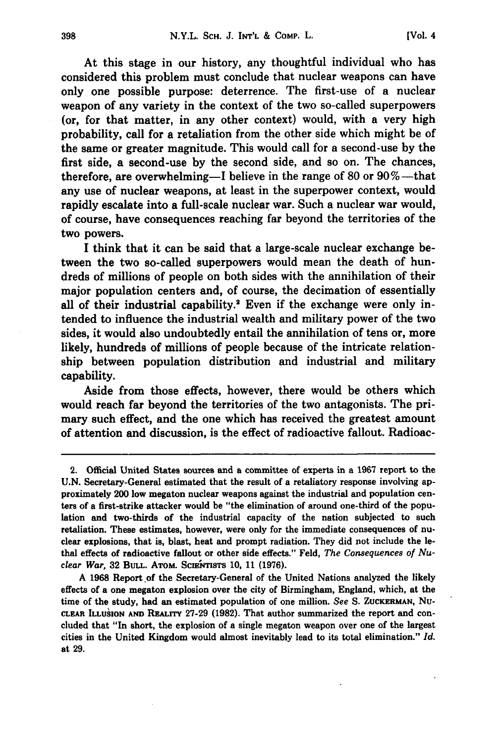At this stage in our history, any thoughtful individual who has considered this problem must conclude that nuclear weapons can have only one possible purpose: deterrence. The first-use of a nuclear weapon of any variety in the context of the two so-called superpowers (or, for that matter, in any other context) would, with a very high probability, call for a retaliation from the other side which might be of the same or greater magnitude. This would call for a second-use **by** the first side, a second-use **by** the second side, and so on. The chances, therefore, are overwhelming-I believe in the range of **80** or **90** %-that any use of nuclear weapons, at least in the superpower context, would rapidly escalate into a full-scale nuclear war. Such a nuclear war would, of course, have consequences reaching far beyond the territories of the two powers.

I think that it can be said that a large-scale nuclear exchange between the two so-called superpowers would mean the death of hundreds of millions of people on both sides with the annihilation of their major population centers and, of course, the decimation of essentially all of their industrial capability.<sup>2</sup> Even if the exchange were only intended to influence the industrial wealth and military power of the two sides, it would also undoubtedly entail the annihilation of tens or, more likely, hundreds of millions of people because of the intricate relationship between population distribution and industrial and military capability.

Aside from those effects, however, there would be others which would reach far beyond the territories of the two antagonists. The primary such effect, and the one which has received the greatest amount of attention and discussion, is the effect of radioactive fallout. Radioac-

<sup>2.</sup> Official United States sources and a committee of experts in a **1967** report to the **U.N.** Secretary-General estimated that the result of a retaliatory response involving approximately 200 low megaton nuclear weapons against the industrial and population centers of a first-strike attacker would be "the elimination of around one-third of the population and two-thirds of the industrial capacity of the nation subjected to such retaliation. These estimates, however, were only for the immediate consequences of nuclear explosions, that is, blast, heat and prompt radiation. They did not include the lethal effects of radioactive fallout or other side effects." Feld, *The Consequences of Nuclear War,* **32 BULL.** AToM. ScniqrsTs **10, 11 (1976).**

**A 1968** Report **.of** the Secretary-General of the United Nations analyzed the likely effects of a one megaton explosion over the city of Birmingham, England, which, at the time of the study, had an estimated population of one million. *See* **S. ZUCKERMAN, Nu-CLEAR ILLUSION AND REALrrY 27-29 (1982).** That author summarized the report and concluded that "In short, the explosion of a single megaton weapon over one of the largest cities in the United Kingdom would almost inevitably lead to its total elimination." *Id.* at **29.**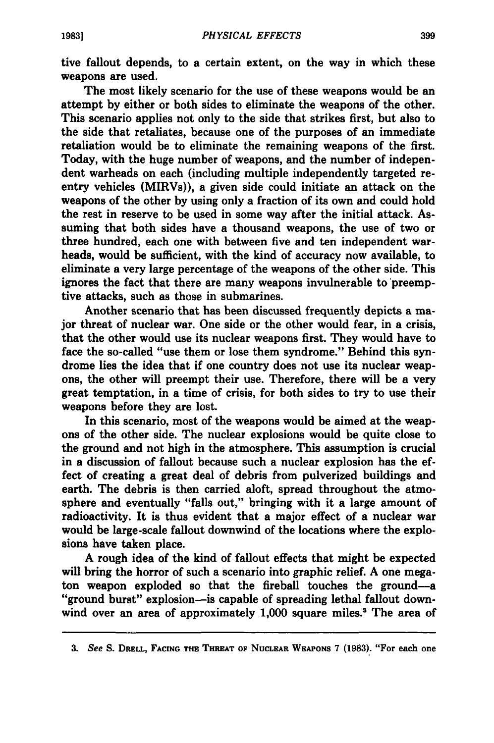tive fallout depends, to a certain extent, on the way in which these weapons are used.

The most likely scenario for the use of these weapons would be an attempt **by** either or both sides to eliminate the weapons of the other. This scenario applies not only to the side that strikes first, but also to the side that retaliates, because one of the purposes of an immediate retaliation would be to eliminate the remaining weapons of the first. Today, with the huge number of weapons, and the number of independent warheads on each (including multiple independently targeted reentry vehicles (MIRVs)), a given side could initiate an attack on the weapons of the other **by** using only a fraction of its own and could hold the rest in reserve to be used in some way after the initial attack. Assuming that both sides have a thousand weapons, the use of two or three hundred, each one with between five and ten independent warheads, would be sufficient, with the kind of accuracy now available, to eliminate a very large percentage of the weapons of the other side. This ignores the fact that there are many weapons invulnerable to 'preemptive attacks, such as those in submarines.

Another scenario that has been discussed frequently depicts a major threat of nuclear war. One side or the other would fear, in a crisis, that the other would use its nuclear weapons first. They would have to face the so-called "use them or lose them syndrome." Behind this syndrome lies the idea that if one country does not use its nuclear weapons, the other will preempt their use. Therefore, there will be a very great temptation, in a time of crisis, for both sides to try to use their weapons before they are lost.

In this scenario, most of the weapons would be aimed at the weapons of the other side. The nuclear explosions would be quite close to the ground and not high in the atmosphere. This assumption is crucial in a discussion of fallout because such a nuclear explosion has the effect of creating a great deal of debris from pulverized buildings and earth. The debris is then carried aloft, spread throughout the atmosphere and eventually "falls out," bringing with it a large amount of radioactivity. It is thus evident that a major effect of a nuclear war would be large-scale fallout downwind of the locations where the explosions have taken place.

**A** rough idea of the kind of fallout effects that might be expected will bring the horror of such a scenario into graphic relief. **A** one megaton weapon exploded so that the fireball touches the ground-a "ground burst" explosion-is capable of spreading lethal fallout downwind over an area of approximately **1,000** square miles.' The area of

**<sup>3.</sup>** *See* **S. DRELL, FACING THE THREAT OF NUCLEAR WEAPONS 7 (1983).** "For each one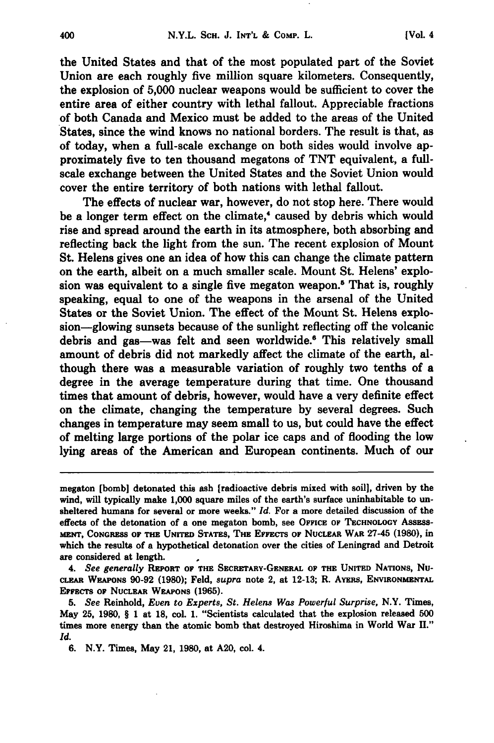the United States and that of the most populated part of the Soviet Union are each roughly five million square kilometers. Consequently, the explosion of 5,000 nuclear weapons would be sufficient to cover the entire area of either country with lethal fallout. Appreciable fractions of both Canada and Mexico must be added to the areas of the United States, since the wind knows no national borders. The result is that, as of today, when a full-scale exchange on both sides would involve approximately five to ten thousand megatons of TNT equivalent, a fullscale exchange between the United States and the Soviet Union would cover the entire territory of both nations with lethal fallout.

The effects of nuclear war, however, do not stop here. There would be a longer term effect on the climate,<sup>4</sup> caused by debris which would rise and spread around the earth in its atmosphere, both absorbing and reflecting back the light from the sun. The recent explosion of Mount St. Helens gives one an idea of how this can change the climate pattern on the earth, albeit on a much smaller scale. Mount St. Helens' explosion was equivalent to a single five megaton weapon.<sup>5</sup> That is, roughly speaking, equal to one of the weapons in the arsenal of the United States or the Soviet Union. The effect of the Mount St. Helens explosion-glowing sunsets because of the sunlight reflecting off the volcanic debris and gas-was felt and seen worldwide. 6 This relatively small amount of debris did not markedly affect the climate of the earth, although there was a measurable variation of roughly two tenths of a degree in the average temperature during that time. One thousand times that amount of debris, however, would have a very definite effect on the climate, changing the temperature by several degrees. Such changes in temperature may seem small to us, but could have the effect of melting large portions of the polar ice caps and of flooding the low lying areas of the American and European continents. Much of our

*4. See generally* REPORT OF THE SECRETARY-GENERAL OF THE UNIrED NATIONS, Nu-CLEAR **WEAPONS 90-92 (1980);** Feld, *supra* note 2, at **12-13;** R. AYERs, ENVIRONMENTAL **EFFECTS OF** NUCLEAR WKAPONS **(1965).**

**5.** *See* Reinhold, Even to *Experts, St. Helens Was Powerful Surprise,* N.Y. Times, May **25, 1980,** § **I** at **18,** col. **1.** "Scientists calculated that the explosion released **500** times more energy than the atomic bomb that destroyed Hiroshima in World War **H."** *Id.*

**6.** N.Y. Times, May 21, **1980,** at **A20,** col. 4.

megaton [bomb] detonated this ash [radioactive debris mixed with soil], driven by the wind, will typically make **1,000** square miles of the earth's surface uninhabitable to unsheltered humans for several or more weeks." *Id.* For a more detailed discussion of the effects of the detonation of a one megaton bomb, see OFFICE OF **TECHNOLOGY** ASSESS-**MENTF, CONGRESS** OF **THE UNITED** STATES, THE **EFFECTS** OF NucLEAR WAR 27-45 **(1980),** in which the results of a hypothetical detonation over the cities of Leningrad and Detroit are considered at length.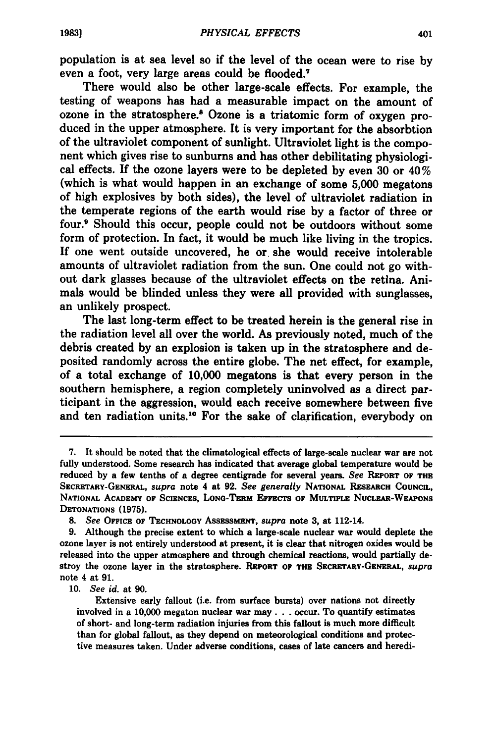population is at sea level so if the level of the ocean were to rise **by** even a foot, very large areas could be flooded.7

There would also be other large-scale effects. For example, the testing of weapons has had a measurable impact on the amount of ozone in the stratosphere.' Ozone is a triatomic form of oxygen produced in the upper atmosphere. It is very important for the absorbtion of the ultraviolet component of sunlight. Ultraviolet light is the component which gives rise to sunburns and has other debilitating physiological effects. **If** the ozone layers were to be depleted **by** even **30** or 40% (which is what would happen in an exchange of some **5,000** megatons of high explosives **by** both sides), the level of ultraviolet radiation in the temperate regions of the earth would rise **by** a factor of three or four.9 Should this occur, people could not be outdoors without some form of protection. In fact, it would be much like living in the tropics. **If** one went outside uncovered, he or she would receive intolerable amounts of ultraviolet radiation from the sun. One could not go without dark glasses because of the ultraviolet effects on the retina. Animals would be blinded unless they were all provided with sunglasses, an unlikely prospect.

The last long-term effect to be treated herein is the general rise in the radiation level all over the world. As previously noted, much of the debris created **by** an explosion is taken up in the stratosphere and deposited randomly across the entire globe. The net effect, for example, of a total exchange of **10,000** megatons is that every person in the southern hemisphere, a region completely uninvolved as a direct participant in the aggression, would each receive somewhere between five and ten radiation units.10 For the sake of clarification, everybody on

**10.** *See id.* at **90.**

Extensive early fallout (i.e. from surface bursts) over nations not directly involved in a **10,000** megaton nuclear war **may... occur. To quantify estimates** of short- and long-term radiation injuries from this fallout is much more difficult than for global fallout, as they depend on meteorological conditions and protective measures taken. Under adverse conditions, cases of late cancers and heredi-

**<sup>7.</sup>** It should be noted that the climatological effects of large-scale nuclear war are not fully understood. Some research has indicated that average global temperature would be reduced **by** a few tenths of a degree centigrade for several years. *See* REPORT OF THE SECRETARY-GENERAL, *supra* note 4 at **92.** *See generally* **NATIONAL RESEARCH COUNCIL, NATIONAL** ACADEMY OF SCIENCES, **LONG-TERM EFFECTS** OF MULTIPLE **NUCLEAR-WEAPONS DETONATIONS (1975).**

*<sup>8.</sup> See* **OFFICE** OF **TECHNOLOGY AsSEssMENT,** *supra* **note 3,** at 112-14.

**<sup>9.</sup>** Although the precise extent to which a large-scale nuclear war would deplete the ozone layer is not entirely understood at present, it is clear that nitrogen oxides would be released into the upper atmosphere and through chemical reactions, would partially destroy the ozone layer in the stratosphere. **REPORT OF THE SECRETARY-GENERAL,** *supra* note 4 at **91.**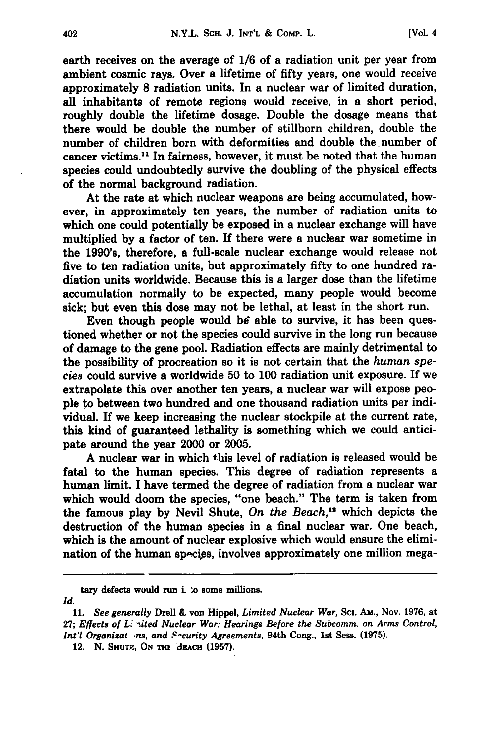earth receives on the average of **1/6** of a radiation unit per year from ambient cosmic rays. Over a lifetime of fifty years, one would receive approximately **8** radiation units. In a nuclear war of limited duration, all inhabitants of remote regions would receive, in a short period, roughly double the lifetime dosage. Double the dosage means that there would be double the number of stillborn children, double the number of children born with deformities and double the number of cancer victims.<sup>11</sup> In fairness, however, it must be noted that the human species could undoubtedly survive the doubling of the physical effects of the normal background radiation.

At the rate at which nuclear weapons are being accumulated, however, in approximately ten years, the number of radiation units to which one could potentially be exposed in a nuclear exchange **will** have multiplied **by** a factor of ten. If there were a nuclear war sometime in the 1990's, therefore, a full-scale nuclear exchange would release not five to ten radiation units, but approximately fifty to one hundred radiation units worldwide. Because this is a larger dose than the lifetime accumulation normally to be expected, many people would become sick; but even this dose may not be lethal, at least in the short run.

Even though people would *b6* able to survive, it has been questioned whether or not the species could survive in the long run because of damage to the gene pool. Radiation effects are mainly detrimental to the possibility of procreation so it is not certain that the *human species* could survive a worldwide **50** to **100** radiation unit exposure. If we extrapolate this over another ten years, a nuclear war **will** expose people to between two hundred and one thousand radiation units per individual. **If** we keep increasing the nuclear stockpile at the current rate, this kind of guaranteed lethality is something which we could anticipate around the year 2000 or **2005.**

**A** nuclear war in which this level of radiation is released would be fatal to the human species. This degree of radiation represents a human limit. **I** have termed the degree of radiation from a nuclear war which would doom the species, "one beach." The term is taken from the famous play by Nevil Shute, On the Beach,<sup>12</sup> which depicts the destruction of the human species in a final nuclear war. One beach, which is the amount of nuclear explosive which would ensure the elimination of the human species, involves approximately one million mega-

tary defects would run i  $\infty$  some millions.

*Id.* **11.** *See generally* Drell **&** von Hippel, *Limited Nuclear War,* Sci. **AM.,** Nov. **1976,** at **27;** *Effects of Li sited Nuclear War: Hearings Before the Subcomm. on Arms Control, Int'l Organizat ns, and Security Agreements, 94th Cong., 1st Sess. (1975).* 

<sup>12.</sup> N. SHUTP., ON THI **BRACH** (1957).